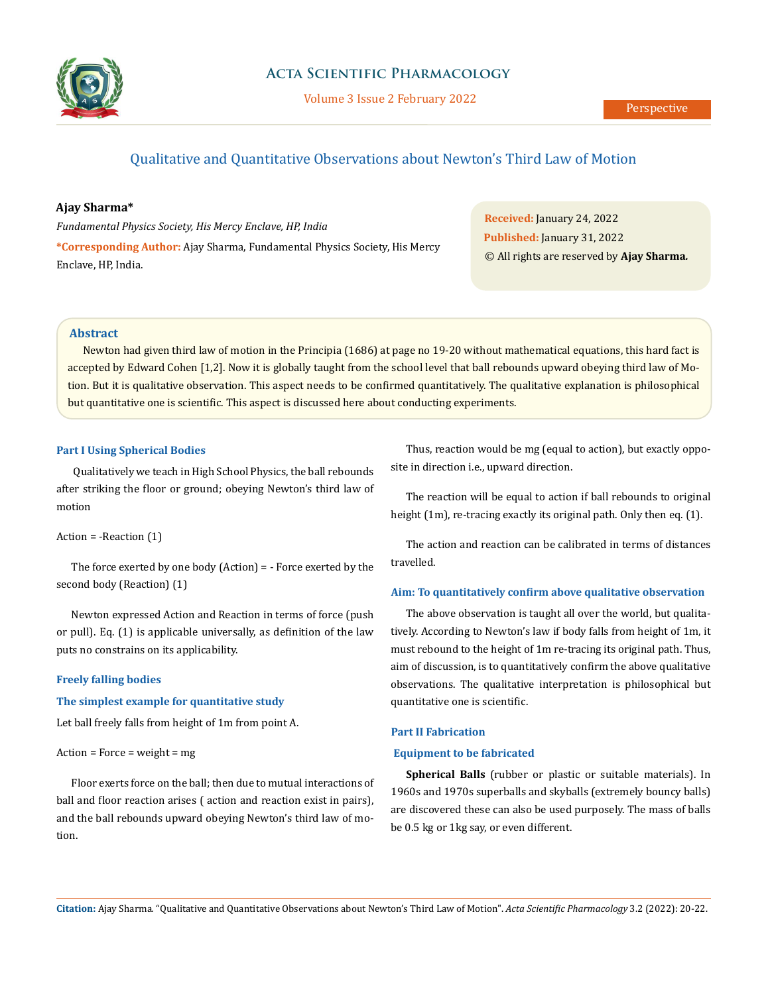

# **Acta Scientific Pharmacology**

Volume 3 Issue 2 February 2022

# Qualitative and Quantitative Observations about Newton's Third Law of Motion

## **Ajay Sharma\***

*Fundamental Physics Society, His Mercy Enclave, HP, India* **\*Corresponding Author:** Ajay Sharma, Fundamental Physics Society, His Mercy Enclave, HP, India.

**Received:** January 24, 2022 **Published:** January 31, 2022 © All rights are reserved by **Ajay Sharma***.*

## **Abstract**

Newton had given third law of motion in the Principia (1686) at page no 19-20 without mathematical equations, this hard fact is accepted by Edward Cohen [1,2]. Now it is globally taught from the school level that ball rebounds upward obeying third law of Motion. But it is qualitative observation. This aspect needs to be confirmed quantitatively. The qualitative explanation is philosophical but quantitative one is scientific. This aspect is discussed here about conducting experiments.

#### **Part I Using Spherical Bodies**

Qualitatively we teach in High School Physics, the ball rebounds after striking the floor or ground; obeying Newton's third law of motion

## Action = -Reaction (1)

The force exerted by one body (Action) = - Force exerted by the second body (Reaction) (1)

Newton expressed Action and Reaction in terms of force (push or pull). Eq. (1) is applicable universally, as definition of the law puts no constrains on its applicability.

#### **Freely falling bodies**

## **The simplest example for quantitative study**

Let ball freely falls from height of 1m from point A.

#### $Action = Force = weight = mg$

Floor exerts force on the ball; then due to mutual interactions of ball and floor reaction arises ( action and reaction exist in pairs), and the ball rebounds upward obeying Newton's third law of motion.

Thus, reaction would be mg (equal to action), but exactly opposite in direction i.e., upward direction.

The reaction will be equal to action if ball rebounds to original height (1m), re-tracing exactly its original path. Only then eq. (1).

The action and reaction can be calibrated in terms of distances travelled.

## **Aim: To quantitatively confirm above qualitative observation**

The above observation is taught all over the world, but qualitatively. According to Newton's law if body falls from height of 1m, it must rebound to the height of 1m re-tracing its original path. Thus, aim of discussion, is to quantitatively confirm the above qualitative observations. The qualitative interpretation is philosophical but quantitative one is scientific.

## **Part II Fabrication**

#### **Equipment to be fabricated**

**Spherical Balls** (rubber or plastic or suitable materials). In 1960s and 1970s superballs and skyballs (extremely bouncy balls) are discovered these can also be used purposely. The mass of balls be 0.5 kg or 1kg say, or even different.

**Citation:** Ajay Sharma*.* "Qualitative and Quantitative Observations about Newton's Third Law of Motion". *Acta Scientific Pharmacology* 3.2 (2022): 20-22.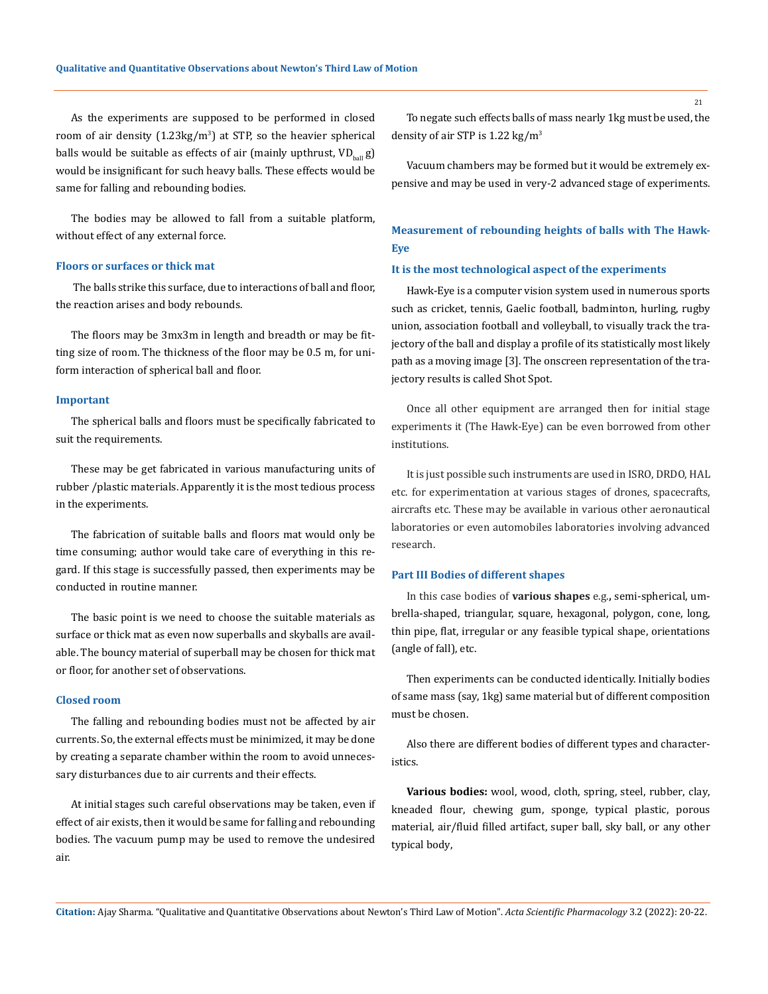As the experiments are supposed to be performed in closed room of air density (1.23kg/m<sup>3</sup>) at STP, so the heavier spherical balls would be suitable as effects of air (mainly upthrust,  $VD_{ball}$ g) would be insignificant for such heavy balls. These effects would be same for falling and rebounding bodies.

The bodies may be allowed to fall from a suitable platform, without effect of any external force.

#### **Floors or surfaces or thick mat**

 The balls strike this surface, due to interactions of ball and floor, the reaction arises and body rebounds.

The floors may be 3mx3m in length and breadth or may be fitting size of room. The thickness of the floor may be 0.5 m, for uniform interaction of spherical ball and floor.

#### **Important**

The spherical balls and floors must be specifically fabricated to suit the requirements.

These may be get fabricated in various manufacturing units of rubber /plastic materials. Apparently it is the most tedious process in the experiments.

The fabrication of suitable balls and floors mat would only be time consuming; author would take care of everything in this regard. If this stage is successfully passed, then experiments may be conducted in routine manner.

The basic point is we need to choose the suitable materials as surface or thick mat as even now superballs and skyballs are available. The bouncy material of superball may be chosen for thick mat or floor, for another set of observations.

#### **Closed room**

The falling and rebounding bodies must not be affected by air currents. So, the external effects must be minimized, it may be done by creating a separate chamber within the room to avoid unnecessary disturbances due to air currents and their effects.

At initial stages such careful observations may be taken, even if effect of air exists, then it would be same for falling and rebounding bodies. The vacuum pump may be used to remove the undesired air.

To negate such effects balls of mass nearly 1kg must be used, the density of air STP is  $1.22 \text{ kg/m}^3$ 

Vacuum chambers may be formed but it would be extremely expensive and may be used in very-2 advanced stage of experiments.

## **Measurement of rebounding heights of balls with The Hawk-Eye**

#### **It is the most technological aspect of the experiments**

Hawk-Eye is a computer vision system used in numerous sports such as cricket, tennis, Gaelic football, badminton, hurling, rugby union, association football and volleyball, to visually track the trajectory of the ball and display a profile of its statistically most likely path as a moving image [3]. The onscreen representation of the trajectory results is called Shot Spot.

Once all other equipment are arranged then for initial stage experiments it (The Hawk-Eye) can be even borrowed from other institutions.

It is just possible such instruments are used in ISRO, DRDO, HAL etc. for experimentation at various stages of drones, spacecrafts, aircrafts etc. These may be available in various other aeronautical laboratories or even automobiles laboratories involving advanced research.

#### **Part III Bodies of different shapes**

In this case bodies of **various shapes** e.g.**,** semi-spherical, umbrella-shaped, triangular, square, hexagonal, polygon, cone, long, thin pipe, flat, irregular or any feasible typical shape, orientations (angle of fall), etc.

Then experiments can be conducted identically. Initially bodies of same mass (say, 1kg) same material but of different composition must be chosen.

Also there are different bodies of different types and characteristics.

**Various bodies:** wool, wood, cloth, spring, steel, rubber, clay, kneaded flour, chewing gum, sponge, typical plastic, porous material, air/fluid filled artifact, super ball, sky ball, or any other typical body,

**Citation:** Ajay Sharma*.* "Qualitative and Quantitative Observations about Newton's Third Law of Motion". *Acta Scientific Pharmacology* 3.2 (2022): 20-22.

21